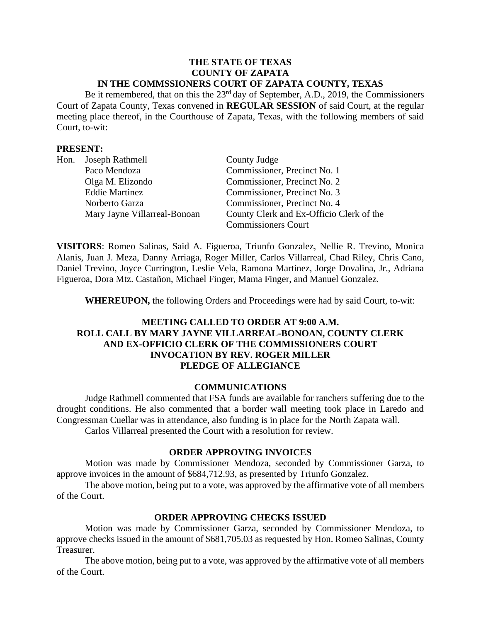#### **THE STATE OF TEXAS COUNTY OF ZAPATA IN THE COMMSSIONERS COURT OF ZAPATA COUNTY, TEXAS**

Be it remembered, that on this the 23<sup>rd</sup> day of September, A.D., 2019, the Commissioners Court of Zapata County, Texas convened in **REGULAR SESSION** of said Court, at the regular meeting place thereof, in the Courthouse of Zapata, Texas, with the following members of said Court, to-wit:

### **PRESENT:**

| Hon. Joseph Rathmell         | County Judge                             |
|------------------------------|------------------------------------------|
| Paco Mendoza                 | Commissioner, Precinct No. 1             |
| Olga M. Elizondo             | Commissioner, Precinct No. 2             |
| <b>Eddie Martinez</b>        | Commissioner, Precinct No. 3             |
| Norberto Garza               | Commissioner, Precinct No. 4             |
| Mary Jayne Villarreal-Bonoan | County Clerk and Ex-Officio Clerk of the |
|                              | <b>Commissioners Court</b>               |

**VISITORS**: Romeo Salinas, Said A. Figueroa, Triunfo Gonzalez, Nellie R. Trevino, Monica Alanis, Juan J. Meza, Danny Arriaga, Roger Miller, Carlos Villarreal, Chad Riley, Chris Cano, Daniel Trevino, Joyce Currington, Leslie Vela, Ramona Martinez, Jorge Dovalina, Jr., Adriana Figueroa, Dora Mtz. Castañon, Michael Finger, Mama Finger, and Manuel Gonzalez.

**WHEREUPON,** the following Orders and Proceedings were had by said Court, to-wit:

## **MEETING CALLED TO ORDER AT 9:00 A.M. ROLL CALL BY MARY JAYNE VILLARREAL-BONOAN, COUNTY CLERK AND EX-OFFICIO CLERK OF THE COMMISSIONERS COURT INVOCATION BY REV. ROGER MILLER PLEDGE OF ALLEGIANCE**

#### **COMMUNICATIONS**

Judge Rathmell commented that FSA funds are available for ranchers suffering due to the drought conditions. He also commented that a border wall meeting took place in Laredo and Congressman Cuellar was in attendance, also funding is in place for the North Zapata wall. Carlos Villarreal presented the Court with a resolution for review.

#### **ORDER APPROVING INVOICES**

Motion was made by Commissioner Mendoza, seconded by Commissioner Garza, to approve invoices in the amount of \$684,712.93, as presented by Triunfo Gonzalez.

The above motion, being put to a vote, was approved by the affirmative vote of all members of the Court.

#### **ORDER APPROVING CHECKS ISSUED**

Motion was made by Commissioner Garza, seconded by Commissioner Mendoza, to approve checks issued in the amount of \$681,705.03 as requested by Hon. Romeo Salinas, County Treasurer.

The above motion, being put to a vote, was approved by the affirmative vote of all members of the Court.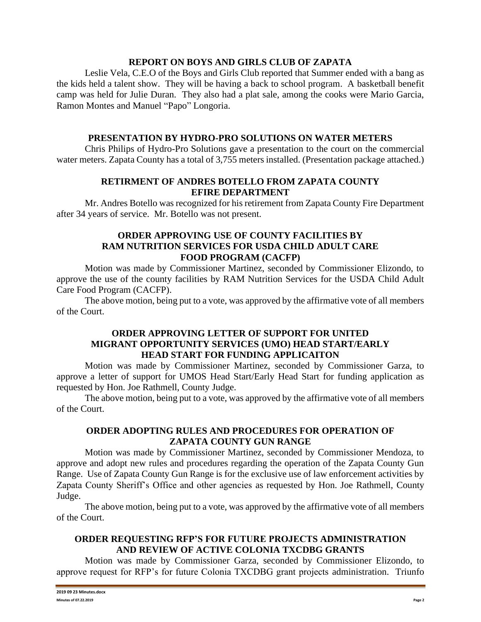### **REPORT ON BOYS AND GIRLS CLUB OF ZAPATA**

Leslie Vela, C.E.O of the Boys and Girls Club reported that Summer ended with a bang as the kids held a talent show. They will be having a back to school program. A basketball benefit camp was held for Julie Duran. They also had a plat sale, among the cooks were Mario Garcia, Ramon Montes and Manuel "Papo" Longoria.

# **PRESENTATION BY HYDRO-PRO SOLUTIONS ON WATER METERS**

Chris Philips of Hydro-Pro Solutions gave a presentation to the court on the commercial water meters. Zapata County has a total of 3,755 meters installed. (Presentation package attached.)

## **RETIRMENT OF ANDRES BOTELLO FROM ZAPATA COUNTY EFIRE DEPARTMENT**

Mr. Andres Botello was recognized for his retirement from Zapata County Fire Department after 34 years of service. Mr. Botello was not present.

## **ORDER APPROVING USE OF COUNTY FACILITIES BY RAM NUTRITION SERVICES FOR USDA CHILD ADULT CARE FOOD PROGRAM (CACFP)**

Motion was made by Commissioner Martinez, seconded by Commissioner Elizondo, to approve the use of the county facilities by RAM Nutrition Services for the USDA Child Adult Care Food Program (CACFP).

The above motion, being put to a vote, was approved by the affirmative vote of all members of the Court.

## **ORDER APPROVING LETTER OF SUPPORT FOR UNITED MIGRANT OPPORTUNITY SERVICES (UMO) HEAD START/EARLY HEAD START FOR FUNDING APPLICAITON**

Motion was made by Commissioner Martinez, seconded by Commissioner Garza, to approve a letter of support for UMOS Head Start/Early Head Start for funding application as requested by Hon. Joe Rathmell, County Judge.

The above motion, being put to a vote, was approved by the affirmative vote of all members of the Court.

## **ORDER ADOPTING RULES AND PROCEDURES FOR OPERATION OF ZAPATA COUNTY GUN RANGE**

Motion was made by Commissioner Martinez, seconded by Commissioner Mendoza, to approve and adopt new rules and procedures regarding the operation of the Zapata County Gun Range. Use of Zapata County Gun Range is for the exclusive use of law enforcement activities by Zapata County Sheriff's Office and other agencies as requested by Hon. Joe Rathmell, County Judge.

The above motion, being put to a vote, was approved by the affirmative vote of all members of the Court.

## **ORDER REQUESTING RFP'S FOR FUTURE PROJECTS ADMINISTRATION AND REVIEW OF ACTIVE COLONIA TXCDBG GRANTS**

Motion was made by Commissioner Garza, seconded by Commissioner Elizondo, to approve request for RFP's for future Colonia TXCDBG grant projects administration. Triunfo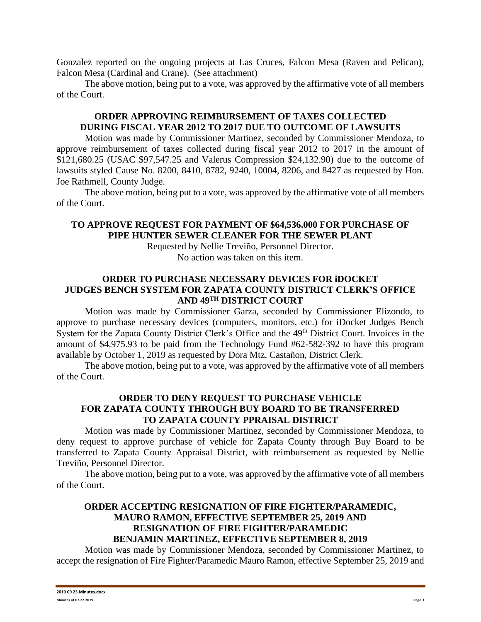Gonzalez reported on the ongoing projects at Las Cruces, Falcon Mesa (Raven and Pelican), Falcon Mesa (Cardinal and Crane). (See attachment)

The above motion, being put to a vote, was approved by the affirmative vote of all members of the Court.

## **ORDER APPROVING REIMBURSEMENT OF TAXES COLLECTED DURING FISCAL YEAR 2012 TO 2017 DUE TO OUTCOME OF LAWSUITS**

Motion was made by Commissioner Martinez, seconded by Commissioner Mendoza, to approve reimbursement of taxes collected during fiscal year 2012 to 2017 in the amount of \$121,680.25 (USAC \$97,547.25 and Valerus Compression \$24,132.90) due to the outcome of lawsuits styled Cause No. 8200, 8410, 8782, 9240, 10004, 8206, and 8427 as requested by Hon. Joe Rathmell, County Judge.

The above motion, being put to a vote, was approved by the affirmative vote of all members of the Court.

## **TO APPROVE REQUEST FOR PAYMENT OF \$64,536.000 FOR PURCHASE OF PIPE HUNTER SEWER CLEANER FOR THE SEWER PLANT**

Requested by Nellie Treviño, Personnel Director. No action was taken on this item.

## **ORDER TO PURCHASE NECESSARY DEVICES FOR iDOCKET JUDGES BENCH SYSTEM FOR ZAPATA COUNTY DISTRICT CLERK'S OFFICE AND 49TH DISTRICT COURT**

Motion was made by Commissioner Garza, seconded by Commissioner Elizondo, to approve to purchase necessary devices (computers, monitors, etc.) for iDocket Judges Bench System for the Zapata County District Clerk's Office and the 49<sup>th</sup> District Court. Invoices in the amount of \$4,975.93 to be paid from the Technology Fund #62-582-392 to have this program available by October 1, 2019 as requested by Dora Mtz. Castañon, District Clerk.

The above motion, being put to a vote, was approved by the affirmative vote of all members of the Court.

## **ORDER TO DENY REQUEST TO PURCHASE VEHICLE FOR ZAPATA COUNTY THROUGH BUY BOARD TO BE TRANSFERRED TO ZAPATA COUNTY PPRAISAL DISTRICT**

Motion was made by Commissioner Martinez, seconded by Commissioner Mendoza, to deny request to approve purchase of vehicle for Zapata County through Buy Board to be transferred to Zapata County Appraisal District, with reimbursement as requested by Nellie Treviño, Personnel Director.

The above motion, being put to a vote, was approved by the affirmative vote of all members of the Court.

## **ORDER ACCEPTING RESIGNATION OF FIRE FIGHTER/PARAMEDIC, MAURO RAMON, EFFECTIVE SEPTEMBER 25, 2019 AND RESIGNATION OF FIRE FIGHTER/PARAMEDIC BENJAMIN MARTINEZ, EFFECTIVE SEPTEMBER 8, 2019**

Motion was made by Commissioner Mendoza, seconded by Commissioner Martinez, to accept the resignation of Fire Fighter/Paramedic Mauro Ramon, effective September 25, 2019 and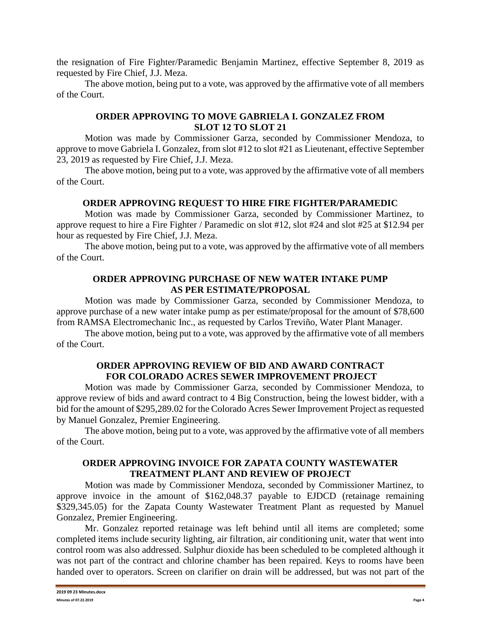the resignation of Fire Fighter/Paramedic Benjamin Martinez, effective September 8, 2019 as requested by Fire Chief, J.J. Meza.

The above motion, being put to a vote, was approved by the affirmative vote of all members of the Court.

## **ORDER APPROVING TO MOVE GABRIELA I. GONZALEZ FROM SLOT 12 TO SLOT 21**

Motion was made by Commissioner Garza, seconded by Commissioner Mendoza, to approve to move Gabriela I. Gonzalez, from slot #12 to slot #21 as Lieutenant, effective September 23, 2019 as requested by Fire Chief, J.J. Meza.

The above motion, being put to a vote, was approved by the affirmative vote of all members of the Court.

## **ORDER APPROVING REQUEST TO HIRE FIRE FIGHTER/PARAMEDIC**

Motion was made by Commissioner Garza, seconded by Commissioner Martinez, to approve request to hire a Fire Fighter / Paramedic on slot #12, slot #24 and slot #25 at \$12.94 per hour as requested by Fire Chief, J.J. Meza.

The above motion, being put to a vote, was approved by the affirmative vote of all members of the Court.

### **ORDER APPROVING PURCHASE OF NEW WATER INTAKE PUMP AS PER ESTIMATE/PROPOSAL**

Motion was made by Commissioner Garza, seconded by Commissioner Mendoza, to approve purchase of a new water intake pump as per estimate/proposal for the amount of \$78,600 from RAMSA Electromechanic Inc., as requested by Carlos Treviño, Water Plant Manager.

The above motion, being put to a vote, was approved by the affirmative vote of all members of the Court.

## **ORDER APPROVING REVIEW OF BID AND AWARD CONTRACT FOR COLORADO ACRES SEWER IMPROVEMENT PROJECT**

Motion was made by Commissioner Garza, seconded by Commissioner Mendoza, to approve review of bids and award contract to 4 Big Construction, being the lowest bidder, with a bid for the amount of \$295,289.02 for the Colorado Acres Sewer Improvement Project as requested by Manuel Gonzalez, Premier Engineering.

The above motion, being put to a vote, was approved by the affirmative vote of all members of the Court.

## **ORDER APPROVING INVOICE FOR ZAPATA COUNTY WASTEWATER TREATMENT PLANT AND REVIEW OF PROJECT**

Motion was made by Commissioner Mendoza, seconded by Commissioner Martinez, to approve invoice in the amount of \$162,048.37 payable to EJDCD (retainage remaining \$329,345.05) for the Zapata County Wastewater Treatment Plant as requested by Manuel Gonzalez, Premier Engineering.

Mr. Gonzalez reported retainage was left behind until all items are completed; some completed items include security lighting, air filtration, air conditioning unit, water that went into control room was also addressed. Sulphur dioxide has been scheduled to be completed although it was not part of the contract and chlorine chamber has been repaired. Keys to rooms have been handed over to operators. Screen on clarifier on drain will be addressed, but was not part of the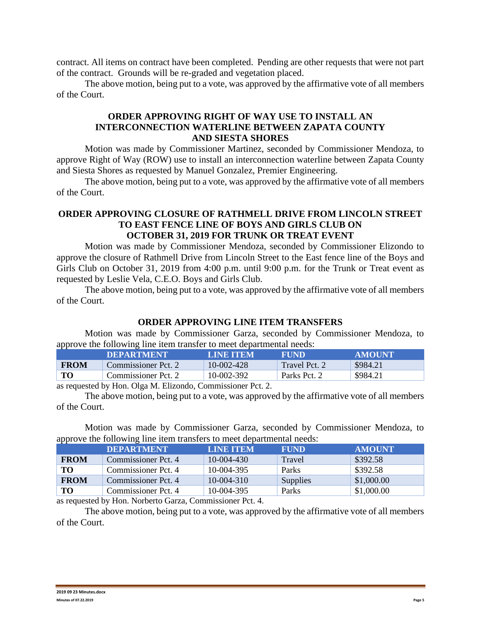contract. All items on contract have been completed. Pending are other requests that were not part of the contract. Grounds will be re-graded and vegetation placed.

The above motion, being put to a vote, was approved by the affirmative vote of all members of the Court.

## **ORDER APPROVING RIGHT OF WAY USE TO INSTALL AN INTERCONNECTION WATERLINE BETWEEN ZAPATA COUNTY AND SIESTA SHORES**

Motion was made by Commissioner Martinez, seconded by Commissioner Mendoza, to approve Right of Way (ROW) use to install an interconnection waterline between Zapata County and Siesta Shores as requested by Manuel Gonzalez, Premier Engineering.

The above motion, being put to a vote, was approved by the affirmative vote of all members of the Court.

## **ORDER APPROVING CLOSURE OF RATHMELL DRIVE FROM LINCOLN STREET TO EAST FENCE LINE OF BOYS AND GIRLS CLUB ON OCTOBER 31, 2019 FOR TRUNK OR TREAT EVENT**

Motion was made by Commissioner Mendoza, seconded by Commissioner Elizondo to approve the closure of Rathmell Drive from Lincoln Street to the East fence line of the Boys and Girls Club on October 31, 2019 from 4:00 p.m. until 9:00 p.m. for the Trunk or Treat event as requested by Leslie Vela, C.E.O. Boys and Girls Club.

The above motion, being put to a vote, was approved by the affirmative vote of all members of the Court.

### **ORDER APPROVING LINE ITEM TRANSFERS**

Motion was made by Commissioner Garza, seconded by Commissioner Mendoza, to approve the following line item transfer to meet departmental needs:

|             | <b>DEPARTMENT</b>   | LINE TEM   | FUND          | <b>AMOUNT</b> |
|-------------|---------------------|------------|---------------|---------------|
| <b>FROM</b> | Commissioner Pct. 2 | 10-002-428 | Travel Pct. 2 | \$984.21      |
| TО          | Commissioner Pct. 2 | 10-002-392 | Parks Pct. 2  | \$984.21      |

as requested by Hon. Olga M. Elizondo, Commissioner Pct. 2.

The above motion, being put to a vote, was approved by the affirmative vote of all members of the Court.

Motion was made by Commissioner Garza, seconded by Commissioner Mendoza, to approve the following line item transfers to meet departmental needs:

|             | <b>DEPARTMENT</b>   | LINE TEM     | <b>FUND</b>  | <b>AMOUNT</b> |
|-------------|---------------------|--------------|--------------|---------------|
| <b>FROM</b> | Commissioner Pct. 4 | 10-004-430   | Travel       | \$392.58      |
| TO.         | Commissioner Pct. 4 | $10-004-395$ | <b>Parks</b> | \$392.58      |
| <b>FROM</b> | Commissioner Pct. 4 | $10-004-310$ | Supplies     | \$1,000.00    |
| <b>TO</b>   | Commissioner Pct. 4 | 10-004-395   | Parks        | \$1,000.00    |

as requested by Hon. Norberto Garza, Commissioner Pct. 4.

The above motion, being put to a vote, was approved by the affirmative vote of all members of the Court.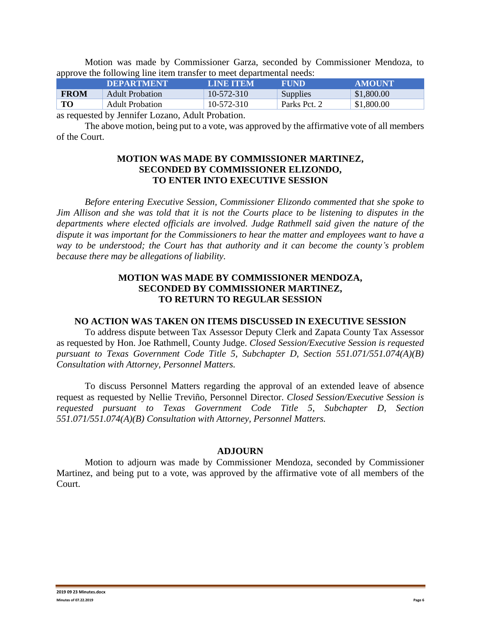Motion was made by Commissioner Garza, seconded by Commissioner Mendoza, to approve the following line item transfer to meet departmental needs:

| \$1,800.00<br><b>FROM</b><br>10-572-310<br>Supplies<br><b>Adult Probation</b> |  |
|-------------------------------------------------------------------------------|--|
| TO<br>\$1,800.00<br>$10 - 572 - 310$<br>Parks Pct. 2<br>Adult Probation       |  |

as requested by Jennifer Lozano, Adult Probation.

The above motion, being put to a vote, was approved by the affirmative vote of all members of the Court.

#### **MOTION WAS MADE BY COMMISSIONER MARTINEZ, SECONDED BY COMMISSIONER ELIZONDO, TO ENTER INTO EXECUTIVE SESSION**

*Before entering Executive Session, Commissioner Elizondo commented that she spoke to Jim Allison and she was told that it is not the Courts place to be listening to disputes in the departments where elected officials are involved. Judge Rathmell said given the nature of the dispute it was important for the Commissioners to hear the matter and employees want to have a way to be understood; the Court has that authority and it can become the county's problem because there may be allegations of liability.*

### **MOTION WAS MADE BY COMMISSIONER MENDOZA, SECONDED BY COMMISSIONER MARTINEZ, TO RETURN TO REGULAR SESSION**

#### **NO ACTION WAS TAKEN ON ITEMS DISCUSSED IN EXECUTIVE SESSION**

To address dispute between Tax Assessor Deputy Clerk and Zapata County Tax Assessor as requested by Hon. Joe Rathmell, County Judge. *Closed Session/Executive Session is requested pursuant to Texas Government Code Title 5, Subchapter D, Section 551.071/551.074(A)(B) Consultation with Attorney, Personnel Matters.*

To discuss Personnel Matters regarding the approval of an extended leave of absence request as requested by Nellie Treviño, Personnel Director. *Closed Session/Executive Session is requested pursuant to Texas Government Code Title 5, Subchapter D, Section 551.071/551.074(A)(B) Consultation with Attorney, Personnel Matters.*

#### **ADJOURN**

Motion to adjourn was made by Commissioner Mendoza, seconded by Commissioner Martinez, and being put to a vote, was approved by the affirmative vote of all members of the Court.